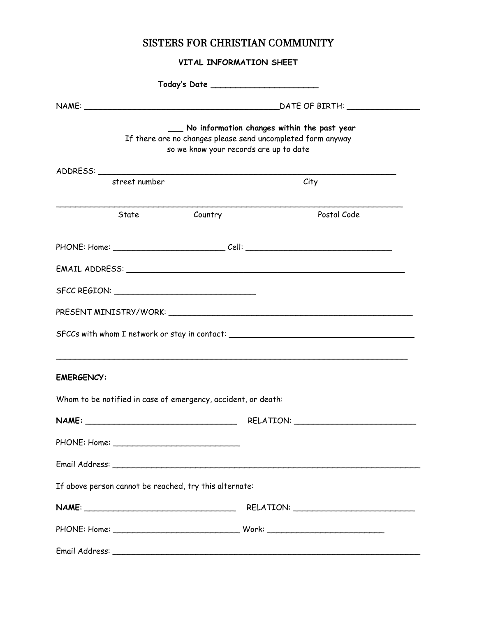## SISTERS FOR CHRISTIAN COMMUNITY

**VITAL INFORMATION SHEET**

|                   | No information changes within the past year<br>If there are no changes please send uncompleted form anyway<br>so we know your records are up to date |                                                               |  |                                                                                                                |  |  |  |
|-------------------|------------------------------------------------------------------------------------------------------------------------------------------------------|---------------------------------------------------------------|--|----------------------------------------------------------------------------------------------------------------|--|--|--|
|                   |                                                                                                                                                      |                                                               |  | ADDRESS:                                                                                                       |  |  |  |
|                   | street number                                                                                                                                        |                                                               |  | City                                                                                                           |  |  |  |
|                   | State                                                                                                                                                | Country                                                       |  | Postal Code                                                                                                    |  |  |  |
|                   |                                                                                                                                                      |                                                               |  |                                                                                                                |  |  |  |
|                   |                                                                                                                                                      |                                                               |  |                                                                                                                |  |  |  |
|                   |                                                                                                                                                      |                                                               |  |                                                                                                                |  |  |  |
|                   |                                                                                                                                                      |                                                               |  | PRESENT MINISTRY/WORK: CONTROLLER CONTROLLER CONTROLLER CONTROLLER CONTROLLER CONTROLLER CONTROLLER CONTROLLER |  |  |  |
|                   |                                                                                                                                                      |                                                               |  | SFCCs with whom I network or stay in contact: ___________________________________                              |  |  |  |
| <b>EMERGENCY:</b> |                                                                                                                                                      |                                                               |  |                                                                                                                |  |  |  |
|                   |                                                                                                                                                      | Whom to be notified in case of emergency, accident, or death: |  |                                                                                                                |  |  |  |
|                   |                                                                                                                                                      |                                                               |  |                                                                                                                |  |  |  |
|                   |                                                                                                                                                      |                                                               |  |                                                                                                                |  |  |  |
|                   |                                                                                                                                                      |                                                               |  |                                                                                                                |  |  |  |
|                   |                                                                                                                                                      | If above person cannot be reached, try this alternate:        |  |                                                                                                                |  |  |  |
|                   |                                                                                                                                                      |                                                               |  |                                                                                                                |  |  |  |
|                   |                                                                                                                                                      |                                                               |  |                                                                                                                |  |  |  |
|                   |                                                                                                                                                      |                                                               |  |                                                                                                                |  |  |  |